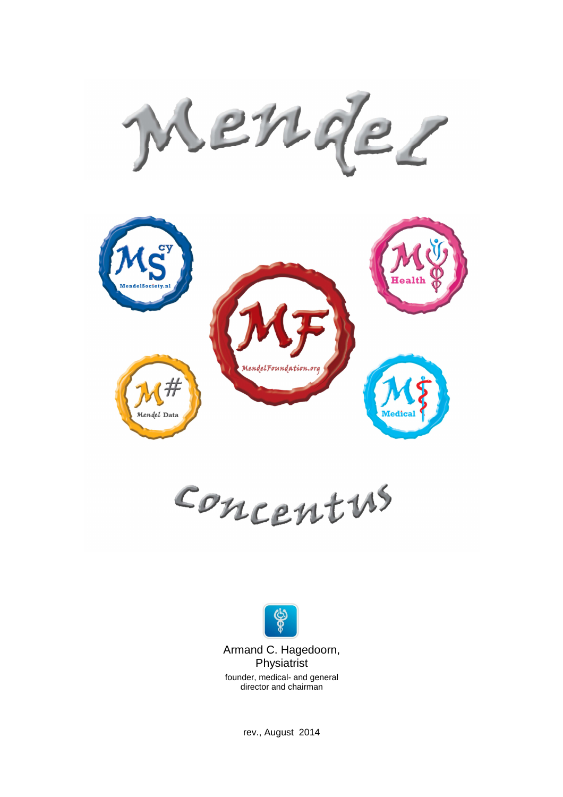ende?



Concentus



Armand C. Hagedoorn, Physiatrist

founder, medical- and general director and chairman

rev., August 2014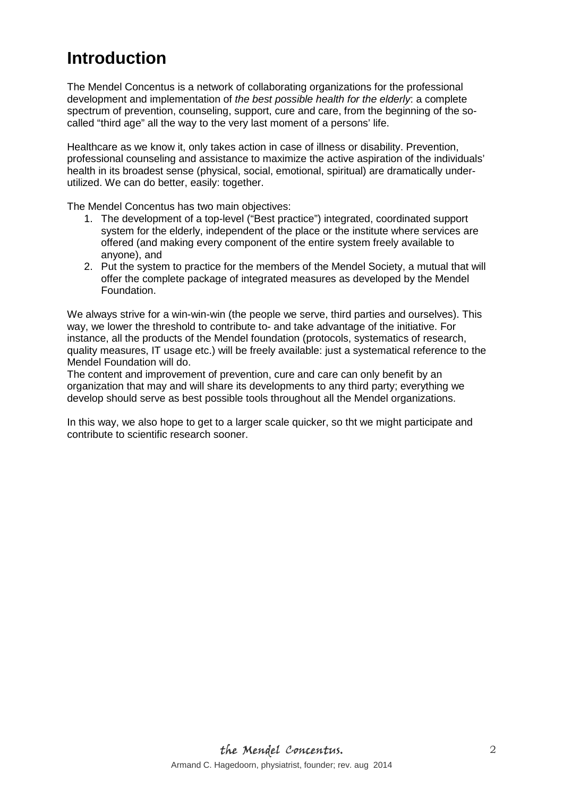# **Introduction**

The Mendel Concentus is a network of collaborating organizations for the professional development and implementation of the best possible health for the elderly: a complete spectrum of prevention, counseling, support, cure and care, from the beginning of the socalled "third age" all the way to the very last moment of a persons' life.

Healthcare as we know it, only takes action in case of illness or disability. Prevention, professional counseling and assistance to maximize the active aspiration of the individuals' health in its broadest sense (physical, social, emotional, spiritual) are dramatically underutilized. We can do better, easily: together.

The Mendel Concentus has two main objectives:

- 1. The development of a top-level ("Best practice") integrated, coordinated support system for the elderly, independent of the place or the institute where services are offered (and making every component of the entire system freely available to anyone), and
- 2. Put the system to practice for the members of the Mendel Society, a mutual that will offer the complete package of integrated measures as developed by the Mendel Foundation.

We always strive for a win-win-win (the people we serve, third parties and ourselves). This way, we lower the threshold to contribute to- and take advantage of the initiative. For instance, all the products of the Mendel foundation (protocols, systematics of research, quality measures, IT usage etc.) will be freely available: just a systematical reference to the Mendel Foundation will do.

The content and improvement of prevention, cure and care can only benefit by an organization that may and will share its developments to any third party; everything we develop should serve as best possible tools throughout all the Mendel organizations.

In this way, we also hope to get to a larger scale quicker, so tht we might participate and contribute to scientific research sooner.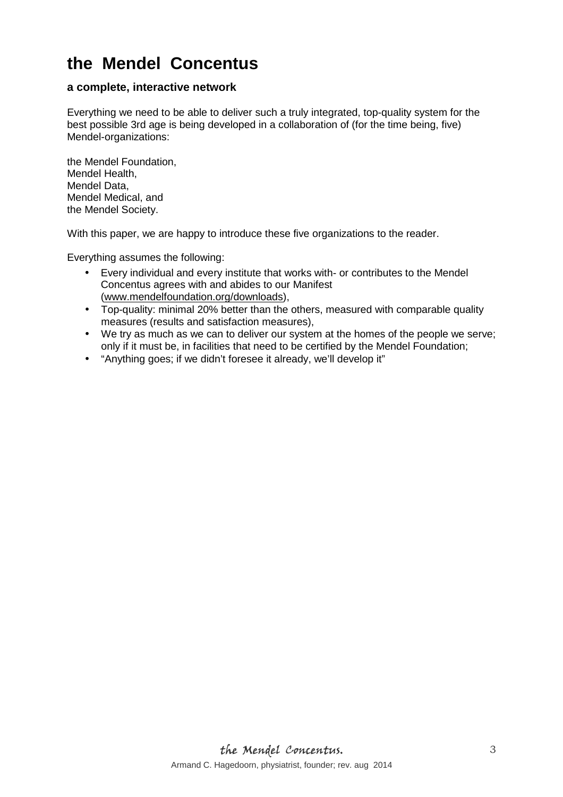# **the Mendel Concentus**

### **a complete, interactive network**

Everything we need to be able to deliver such a truly integrated, top-quality system for the best possible 3rd age is being developed in a collaboration of (for the time being, five) Mendel-organizations:

the Mendel Foundation, Mendel Health, Mendel Data, Mendel Medical, and the Mendel Society.

With this paper, we are happy to introduce these five organizations to the reader.

Everything assumes the following:

- Every individual and every institute that works with- or contributes to the Mendel Concentus agrees with and abides to our Manifest (www.mendelfoundation.org/downloads),
- Top-quality: minimal 20% better than the others, measured with comparable quality measures (results and satisfaction measures),
- We try as much as we can to deliver our system at the homes of the people we serve; only if it must be, in facilities that need to be certified by the Mendel Foundation;
- "Anything goes; if we didn't foresee it already, we'll develop it"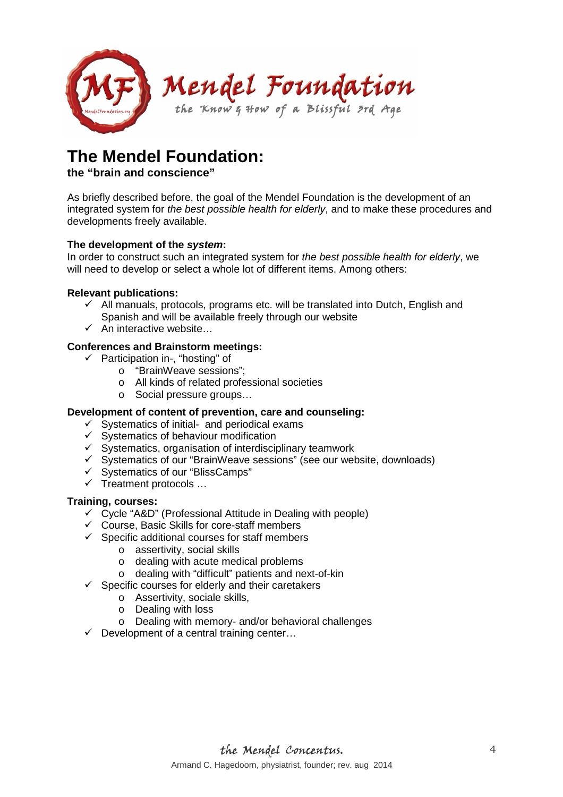

# **The Mendel Foundation:**

### **the "brain and conscience"**

As briefly described before, the goal of the Mendel Foundation is the development of an integrated system for the best possible health for elderly, and to make these procedures and developments freely available.

### **The development of the system:**

In order to construct such an integrated system for the best possible health for elderly, we will need to develop or select a whole lot of different items. Among others:

### **Relevant publications:**

- $\checkmark$  All manuals, protocols, programs etc. will be translated into Dutch, English and Spanish and will be available freely through our website
- $\checkmark$  An interactive website...

### **Conferences and Brainstorm meetings:**

- $\checkmark$  Participation in-, "hosting" of
	- o "BrainWeave sessions";
	- o All kinds of related professional societies
	- o Social pressure groups…

#### **Development of content of prevention, care and counseling:**

- $\checkmark$  Systematics of initial- and periodical exams
- $\checkmark$  Systematics of behaviour modification
- $\checkmark$  Systematics, organisation of interdisciplinary teamwork
- Systematics of our "BrainWeave sessions" (see our website, downloads)
- $\checkmark$  Systematics of our "BlissCamps"
- $\checkmark$  Treatment protocols ...

#### **Training, courses:**

- $\checkmark$  Cycle "A&D" (Professional Attitude in Dealing with people)
- $\checkmark$  Course, Basic Skills for core-staff members
- $\checkmark$  Specific additional courses for staff members
	- o assertivity, social skills
	- o dealing with acute medical problems
	- o dealing with "difficult" patients and next-of-kin
- $\checkmark$  Specific courses for elderly and their caretakers
	- o Assertivity, sociale skills,
	- o Dealing with loss
	- o Dealing with memory- and/or behavioral challenges
- $\checkmark$  Development of a central training center...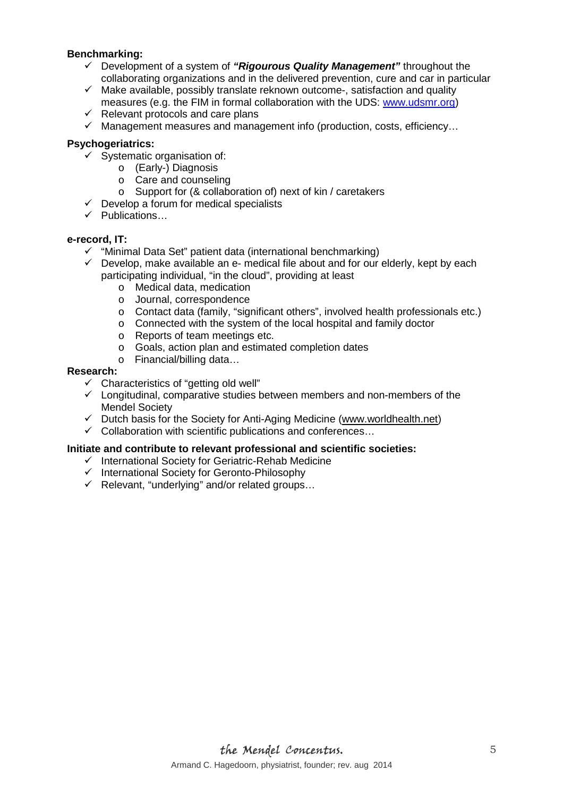#### **Benchmarking:**

- Development of a system of **"Rigourous Quality Management"** throughout the collaborating organizations and in the delivered prevention, cure and car in particular
- $\checkmark$  Make available, possibly translate reknown outcome-, satisfaction and quality measures (e.g. the FIM in formal collaboration with the UDS: www.udsmr.org)
- $\checkmark$  Relevant protocols and care plans
- $\checkmark$  Management measures and management info (production, costs, efficiency...

#### **Psychogeriatrics:**

- $\checkmark$  Systematic organisation of:
	- o (Early-) Diagnosis
	- o Care and counseling
	- o Support for (& collaboration of) next of kin / caretakers
- $\checkmark$  Develop a forum for medical specialists
- $\checkmark$  Publications...

#### **e-record, IT:**

- $\checkmark$  "Minimal Data Set" patient data (international benchmarking)
- $\checkmark$  Develop, make available an e- medical file about and for our elderly, kept by each participating individual, "in the cloud", providing at least
	- o Medical data, medication
	- o Journal, correspondence
	- o Contact data (family, "significant others", involved health professionals etc.)
	- o Connected with the system of the local hospital and family doctor
	- o Reports of team meetings etc.
	- o Goals, action plan and estimated completion dates
	- o Financial/billing data…

#### **Research:**

- $\checkmark$  Characteristics of "getting old well"
- $\checkmark$  Longitudinal, comparative studies between members and non-members of the Mendel Society
- $\checkmark$  Dutch basis for the Society for Anti-Aging Medicine (www.worldhealth.net)
- $\checkmark$  Collaboration with scientific publications and conferences...

#### **Initiate and contribute to relevant professional and scientific societies:**

- $\checkmark$  International Society for Geriatric-Rehab Medicine
- $\checkmark$  International Society for Geronto-Philosophy
- $\checkmark$  Relevant, "underlying" and/or related groups...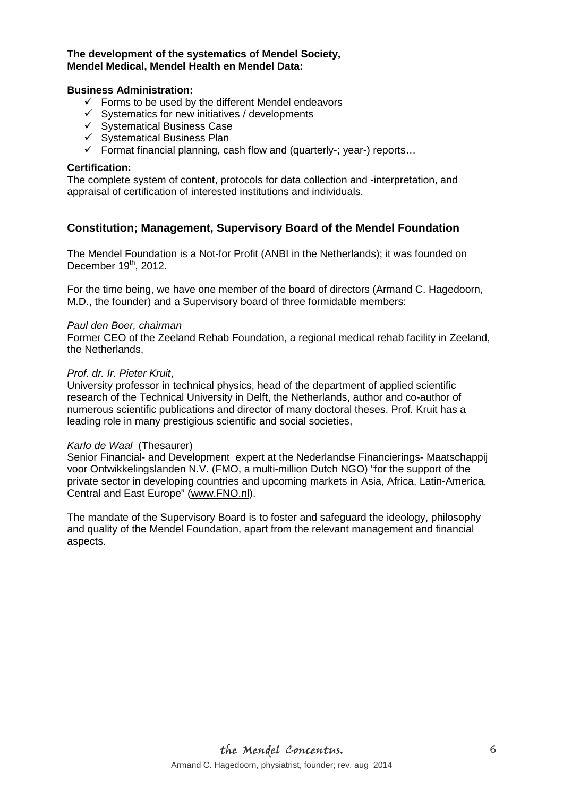#### **The development of the systematics of Mendel Society, Mendel Medical, Mendel Health en Mendel Data:**

#### **Business Administration:**

- $\checkmark$  Forms to be used by the different Mendel endeavors
- $\checkmark$  Systematics for new initiatives / developments
- $\checkmark$  Systematical Business Case
- $\checkmark$  Systematical Business Plan
- $\checkmark$  Format financial planning, cash flow and (quarterly-; year-) reports...

#### **Certification:**

The complete system of content, protocols for data collection and -interpretation, and appraisal of certification of interested institutions and individuals.

### **Constitution; Management, Supervisory Board of the Mendel Foundation**

The Mendel Foundation is a Not-for Profit (ANBI in the Netherlands); it was founded on December 19<sup>th</sup>, 2012.

For the time being, we have one member of the board of directors (Armand C. Hagedoorn, M.D., the founder) and a Supervisory board of three formidable members:

#### Paul den Boer, chairman

Former CEO of the Zeeland Rehab Foundation, a regional medical rehab facility in Zeeland, the Netherlands,

#### Prof. dr. Ir. Pieter Kruit,

University professor in technical physics, head of the department of applied scientific research of the Technical University in Delft, the Netherlands, author and co-author of numerous scientific publications and director of many doctoral theses. Prof. Kruit has a leading role in many prestigious scientific and social societies,

#### Karlo de Waal (Thesaurer)

Senior Financial- and Development expert at the Nederlandse Financierings- Maatschappij voor Ontwikkelingslanden N.V. (FMO, a multi-million Dutch NGO) "for the support of the private sector in developing countries and upcoming markets in Asia, Africa, Latin-America, Central and East Europe" (www.FNO.nl).

The mandate of the Supervisory Board is to foster and safeguard the ideology, philosophy and quality of the Mendel Foundation, apart from the relevant management and financial aspects.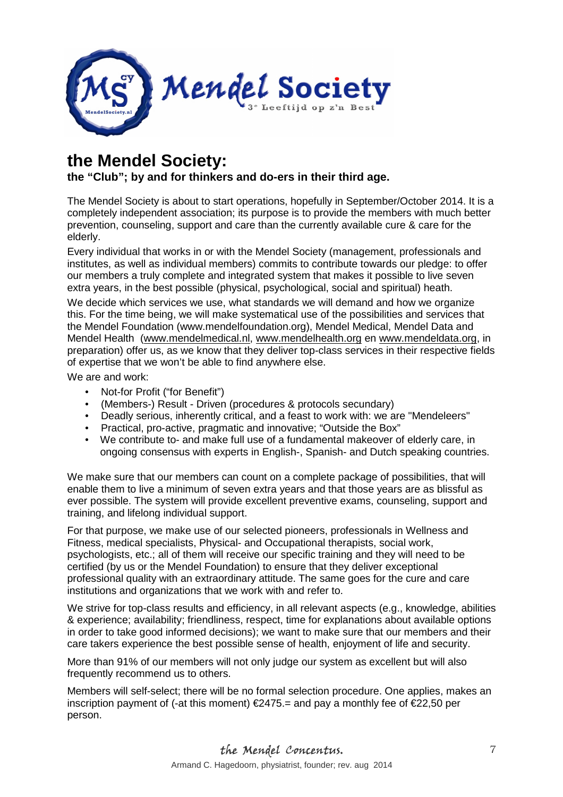

# **the Mendel Society:**

## **the "Club"; by and for thinkers and do-ers in their third age.**

The Mendel Society is about to start operations, hopefully in September/October 2014. It is a completely independent association; its purpose is to provide the members with much better prevention, counseling, support and care than the currently available cure & care for the elderly.

Every individual that works in or with the Mendel Society (management, professionals and institutes, as well as individual members) commits to contribute towards our pledge: to offer our members a truly complete and integrated system that makes it possible to live seven extra years, in the best possible (physical, psychological, social and spiritual) heath.

We decide which services we use, what standards we will demand and how we organize this. For the time being, we will make systematical use of the possibilities and services that the Mendel Foundation (www.mendelfoundation.org), Mendel Medical, Mendel Data and Mendel Health (www.mendelmedical.nl, www.mendelhealth.org en www.mendeldata.org, in preparation) offer us, as we know that they deliver top-class services in their respective fields of expertise that we won't be able to find anywhere else.

We are and work:

- Not-for Profit ("for Benefit")
- (Members-) Result Driven (procedures & protocols secundary)
- Deadly serious, inherently critical, and a feast to work with: we are "Mendeleers"
- Practical, pro-active, pragmatic and innovative; "Outside the Box"
- We contribute to- and make full use of a fundamental makeover of elderly care, in ongoing consensus with experts in English-, Spanish- and Dutch speaking countries.

We make sure that our members can count on a complete package of possibilities, that will enable them to live a minimum of seven extra years and that those years are as blissful as ever possible. The system will provide excellent preventive exams, counseling, support and training, and lifelong individual support.

For that purpose, we make use of our selected pioneers, professionals in Wellness and Fitness, medical specialists, Physical- and Occupational therapists, social work, psychologists, etc.; all of them will receive our specific training and they will need to be certified (by us or the Mendel Foundation) to ensure that they deliver exceptional professional quality with an extraordinary attitude. The same goes for the cure and care institutions and organizations that we work with and refer to.

We strive for top-class results and efficiency, in all relevant aspects (e.g., knowledge, abilities & experience; availability; friendliness, respect, time for explanations about available options in order to take good informed decisions); we want to make sure that our members and their care takers experience the best possible sense of health, enjoyment of life and security.

More than 91% of our members will not only judge our system as excellent but will also frequently recommend us to others.

Members will self-select; there will be no formal selection procedure. One applies, makes an inscription payment of (-at this moment) €2475.= and pay a monthly fee of €22,50 per person.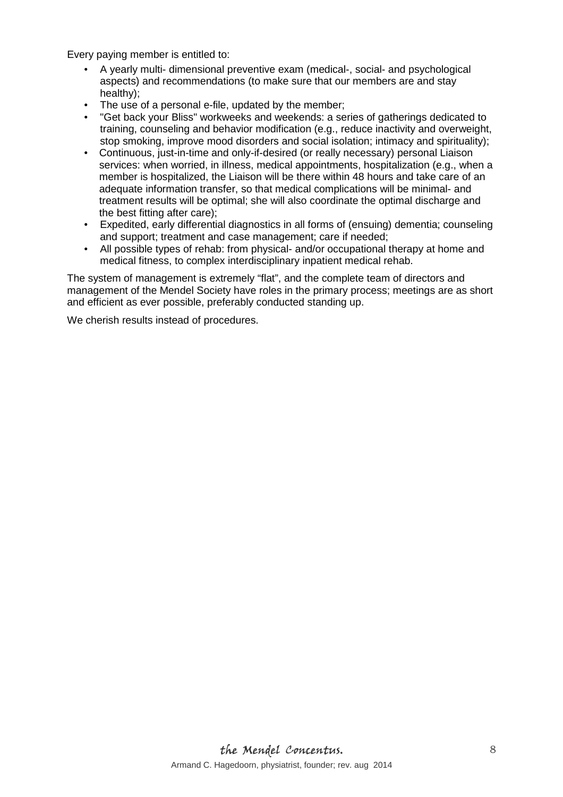Every paying member is entitled to:

- A yearly multi- dimensional preventive exam (medical-, social- and psychological aspects) and recommendations (to make sure that our members are and stay healthy);
- The use of a personal e-file, updated by the member;
- "Get back your Bliss" workweeks and weekends: a series of gatherings dedicated to training, counseling and behavior modification (e.g., reduce inactivity and overweight, stop smoking, improve mood disorders and social isolation; intimacy and spirituality);
- Continuous, just-in-time and only-if-desired (or really necessary) personal Liaison services: when worried, in illness, medical appointments, hospitalization (e.g., when a member is hospitalized, the Liaison will be there within 48 hours and take care of an adequate information transfer, so that medical complications will be minimal- and treatment results will be optimal; she will also coordinate the optimal discharge and the best fitting after care);
- Expedited, early differential diagnostics in all forms of (ensuing) dementia; counseling and support; treatment and case management; care if needed;
- All possible types of rehab: from physical- and/or occupational therapy at home and medical fitness, to complex interdisciplinary inpatient medical rehab.

The system of management is extremely "flat", and the complete team of directors and management of the Mendel Society have roles in the primary process; meetings are as short and efficient as ever possible, preferably conducted standing up.

We cherish results instead of procedures.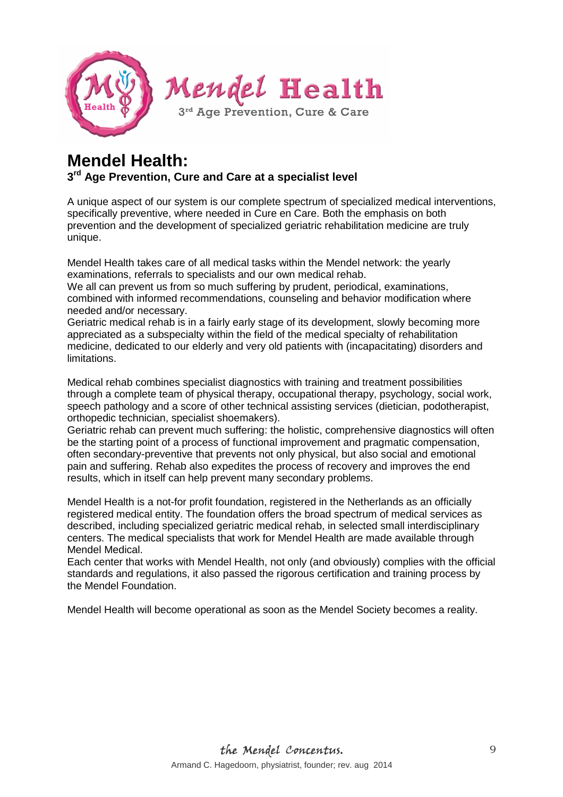

## **Mendel Health: 3 rd Age Prevention, Cure and Care at a specialist level**

A unique aspect of our system is our complete spectrum of specialized medical interventions, specifically preventive, where needed in Cure en Care. Both the emphasis on both prevention and the development of specialized geriatric rehabilitation medicine are truly unique.

Mendel Health takes care of all medical tasks within the Mendel network: the yearly examinations, referrals to specialists and our own medical rehab.

We all can prevent us from so much suffering by prudent, periodical, examinations, combined with informed recommendations, counseling and behavior modification where needed and/or necessary.

Geriatric medical rehab is in a fairly early stage of its development, slowly becoming more appreciated as a subspecialty within the field of the medical specialty of rehabilitation medicine, dedicated to our elderly and very old patients with (incapacitating) disorders and limitations.

Medical rehab combines specialist diagnostics with training and treatment possibilities through a complete team of physical therapy, occupational therapy, psychology, social work, speech pathology and a score of other technical assisting services (dietician, podotherapist, orthopedic technician, specialist shoemakers).

Geriatric rehab can prevent much suffering: the holistic, comprehensive diagnostics will often be the starting point of a process of functional improvement and pragmatic compensation, often secondary-preventive that prevents not only physical, but also social and emotional pain and suffering. Rehab also expedites the process of recovery and improves the end results, which in itself can help prevent many secondary problems.

Mendel Health is a not-for profit foundation, registered in the Netherlands as an officially registered medical entity. The foundation offers the broad spectrum of medical services as described, including specialized geriatric medical rehab, in selected small interdisciplinary centers. The medical specialists that work for Mendel Health are made available through Mendel Medical.

Each center that works with Mendel Health, not only (and obviously) complies with the official standards and regulations, it also passed the rigorous certification and training process by the Mendel Foundation.

Mendel Health will become operational as soon as the Mendel Society becomes a reality.